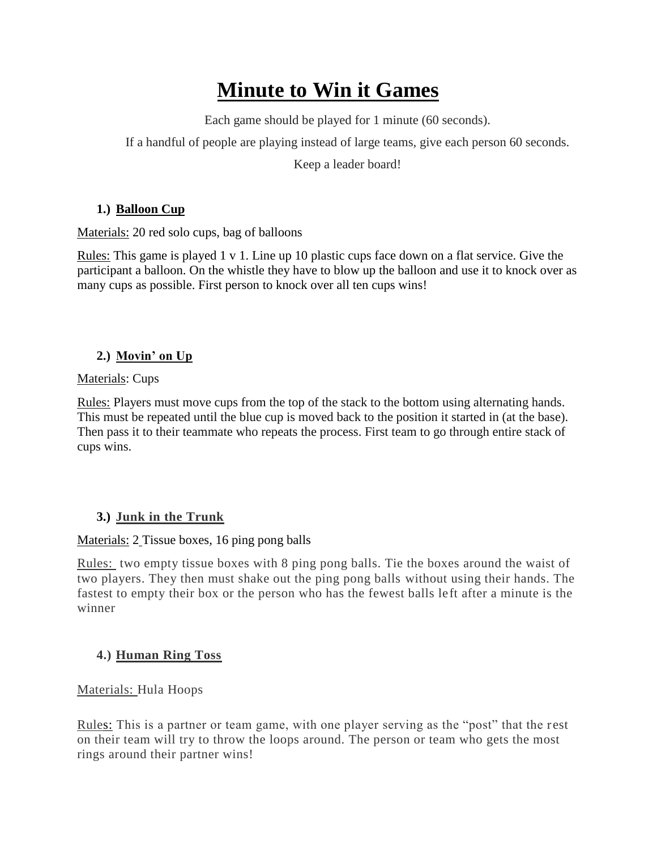# **Minute to Win it Games**

Each game should be played for 1 minute (60 seconds).

If a handful of people are playing instead of large teams, give each person 60 seconds.

Keep a leader board!

## **1.) Balloon Cup**

Materials: 20 red solo cups, bag of balloons

Rules: This game is played 1 v 1. Line up 10 plastic cups face down on a flat service. Give the participant a balloon. On the whistle they have to blow up the balloon and use it to knock over as many cups as possible. First person to knock over all ten cups wins!

# **2.) Movin' on Up**

## Materials: Cups

Rules: Players must move cups from the top of the stack to the bottom using alternating hands. This must be repeated until the blue cup is moved back to the position it started in (at the base). Then pass it to their teammate who repeats the process. First team to go through entire stack of cups wins.

# **3.) Junk in the Trunk**

# Materials: 2 Tissue boxes, 16 ping pong balls

Rules: two empty tissue boxes with 8 ping pong balls. Tie the boxes around the waist of two players. They then must shake out the ping pong balls without using their hands. The fastest to empty their box or the person who has the fewest balls left after a minute is the winner

# **4.) Human Ring Toss**

# Materials: Hula Hoops

Rules: This is a partner or team game, with one player serving as the "post" that the rest on their team will try to throw the loops around. The person or team who gets the most rings around their partner wins!